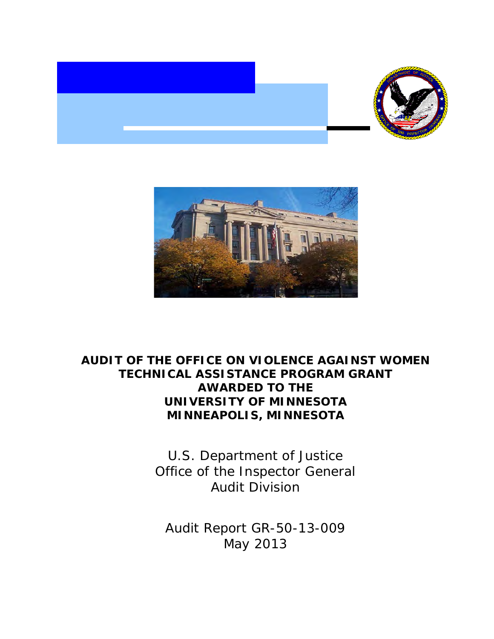



# **AUDIT OF THE OFFICE ON VIOLENCE AGAINST WOMEN TECHNICAL ASSISTANCE PROGRAM GRANT AWARDED TO THE UNIVERSITY OF MINNESOTA MINNEAPOLIS, MINNESOTA**

 Office of the Inspector General U.S. Department of Justice Audit Division

 Audit Report GR-50-13-009 May 2013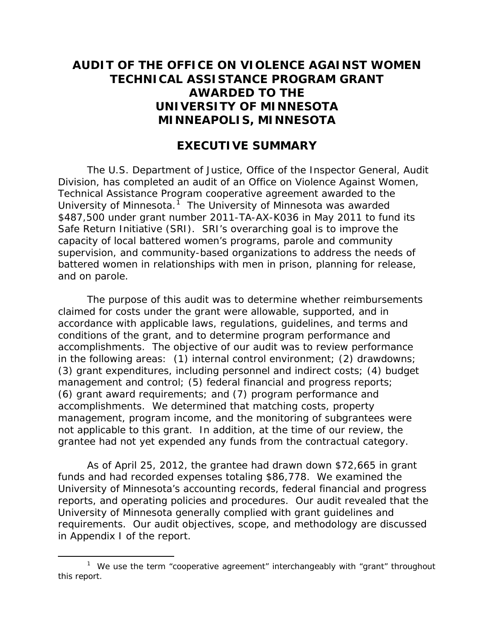# **AUDIT OF THE OFFICE ON VIOLENCE AGAINST WOMEN TECHNICAL ASSISTANCE PROGRAM GRANT AWARDED TO THE UNIVERSITY OF MINNESOTA MINNEAPOLIS, MINNESOTA**

## **EXECUTIVE SUMMARY**

University of Minnesota.<sup>1</sup> The University of Minnesota was awarded \$487,500 under grant number 2011-TA-AX-K036 in May 2011 to fund its The U.S. Department of Justice, Office of the Inspector General, Audit Division, has completed an audit of an Office on Violence Against Women, Technical Assistance Program cooperative agreement awarded to the Safe Return Initiative (SRI). SRI's overarching goal is to improve the capacity of local battered women's programs, parole and community supervision, and community-based organizations to address the needs of battered women in relationships with men in prison, planning for release, and on parole.

 accomplishments. The objective of our audit was to review performance accomplishments. We determined that matching costs, property not applicable to this grant. In addition, at the time of our review, the The purpose of this audit was to determine whether reimbursements claimed for costs under the grant were allowable, supported, and in accordance with applicable laws, regulations, guidelines, and terms and conditions of the grant, and to determine program performance and in the following areas: (1) internal control environment; (2) drawdowns; (3) grant expenditures, including personnel and indirect costs; (4) budget management and control; (5) federal financial and progress reports; (6) grant award requirements; and (7) program performance and management, program income, and the monitoring of subgrantees were grantee had not yet expended any funds from the contractual category.

 reports, and operating policies and procedures. Our audit revealed that the As of April 25, 2012, the grantee had drawn down \$72,665 in grant funds and had recorded expenses totaling \$86,778. We examined the University of Minnesota's accounting records, federal financial and progress University of Minnesota generally complied with grant guidelines and requirements. Our audit objectives, scope, and methodology are discussed in Appendix I of the report.

<span id="page-1-0"></span> $\overline{a}$  this report. <sup>1</sup> We use the term "cooperative agreement" interchangeably with "grant" throughout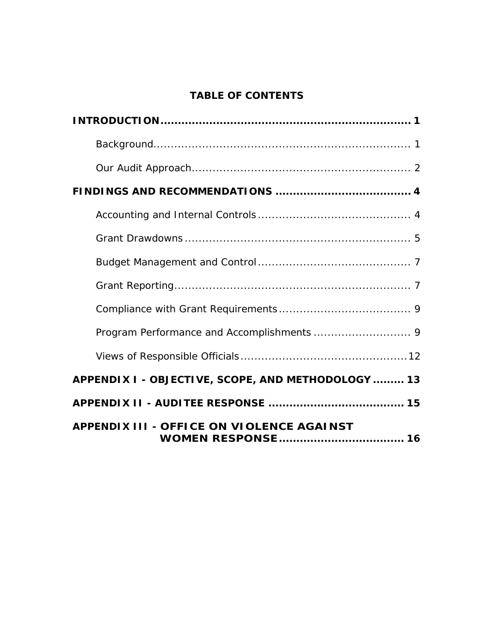## **TABLE OF CONTENTS**

| APPENDIX I - OBJECTIVE, SCOPE, AND METHODOLOGY  13 |
|----------------------------------------------------|
|                                                    |
| <b>APPENDIX III - OFFICE ON VIOLENCE AGAINST</b>   |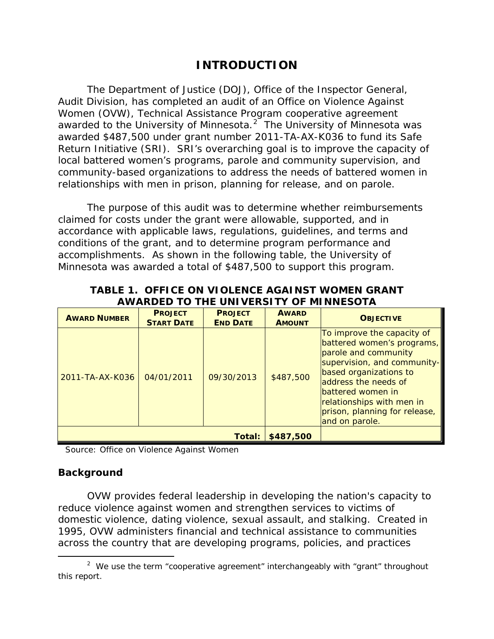## **INTRODUCTION**

<span id="page-3-0"></span>awarded to the University of Minnesota. $2^2$  $2^2$  The University of Minnesota was The Department of Justice (DOJ), Office of the Inspector General, Audit Division, has completed an audit of an Office on Violence Against Women (OVW), Technical Assistance Program cooperative agreement awarded \$487,500 under grant number 2011-TA-AX-K036 to fund its Safe Return Initiative (SRI). SRI's overarching goal is to improve the capacity of local battered women's programs, parole and community supervision, and community-based organizations to address the needs of battered women in relationships with men in prison, planning for release, and on parole.

 accomplishments. As shown in the following table, the University of The purpose of this audit was to determine whether reimbursements claimed for costs under the grant were allowable, supported, and in accordance with applicable laws, regulations, guidelines, and terms and conditions of the grant, and to determine program performance and Minnesota was awarded a total of \$487,500 to support this program.

| <b>AWARD NUMBER</b> | <b>PROJECT</b><br><b>START DATE</b> | <b>PROJECT</b><br><b>END DATE</b> | <b>AWARD</b><br><b>AMOUNT</b> | <b>OBJECTIVE</b>                                                                                                                                                                                                                                                       |
|---------------------|-------------------------------------|-----------------------------------|-------------------------------|------------------------------------------------------------------------------------------------------------------------------------------------------------------------------------------------------------------------------------------------------------------------|
| 2011-TA-AX-K036     | 04/01/2011                          | 09/30/2013                        | \$487,500                     | To improve the capacity of<br>battered women's programs,<br>parole and community<br>supervision, and community-<br>based organizations to<br>address the needs of<br>battered women in<br>relationships with men in<br>prison, planning for release,<br>and on parole. |
| Total:              |                                     |                                   | \$487,500                     |                                                                                                                                                                                                                                                                        |

### **TABLE 1. OFFICE ON VIOLENCE AGAINST WOMEN GRANT AWARDED TO THE UNIVERSITY OF MINNESOTA**

Source: Office on Violence Against Women

### <span id="page-3-1"></span>**Background**

 reduce violence against women and strengthen services to victims of OVW provides federal leadership in developing the nation's capacity to domestic violence, dating violence, sexual assault, and stalking. Created in 1995, OVW administers financial and technical assistance to communities across the country that are developing programs, policies, and practices

<span id="page-3-2"></span> $\overline{a}$ <sup>2</sup> We use the term "cooperative agreement" interchangeably with "grant" throughout this report.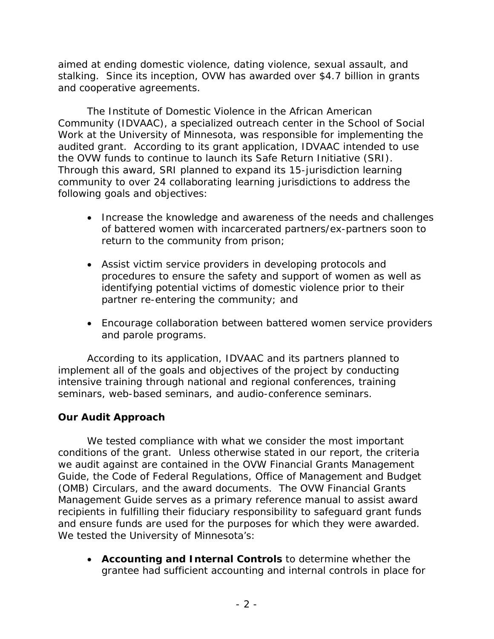stalking. Since its inception, OVW has awarded over \$4.7 billion in grants and cooperative agreements. aimed at ending domestic violence, dating violence, sexual assault, and

 and cooperative agreements. The Institute of Domestic Violence in the African American audited grant. According to its grant application, IDVAAC intended to use Community (IDVAAC), a specialized outreach center in the School of Social Work at the University of Minnesota, was responsible for implementing the the OVW funds to continue to launch its Safe Return Initiative (SRI). Through this award, SRI planned to expand its 15-jurisdiction learning community to over 24 collaborating learning jurisdictions to address the following goals and objectives:

- Increase the knowledge and awareness of the needs and challenges of battered women with incarcerated partners/ex-partners soon to return to the community from prison;
- procedures to ensure the safety and support of women as well as • Assist victim service providers in developing protocols and identifying potential victims of domestic violence prior to their partner re-entering the community; and
- and parole programs. • Encourage collaboration between battered women service providers

According to its application, IDVAAC and its partners planned to implement all of the goals and objectives of the project by conducting intensive training through national and regional conferences, training seminars, web-based seminars, and audio-conference seminars.

### <span id="page-4-0"></span>**Our Audit Approach**

 we audit against are contained in the OVW Financial Grants Management (OMB) Circulars, and the award documents. The OVW Financial Grants and ensure funds are used for the purposes for which they were awarded.<br>We tested the University of Minnesota's: We tested compliance with what we consider the most important conditions of the grant. Unless otherwise stated in our report, the criteria Guide, the Code of Federal Regulations, Office of Management and Budget Management Guide serves as a primary reference manual to assist award recipients in fulfilling their fiduciary responsibility to safeguard grant funds

• **Accounting and Internal Controls** to determine whether the grantee had sufficient accounting and internal controls in place for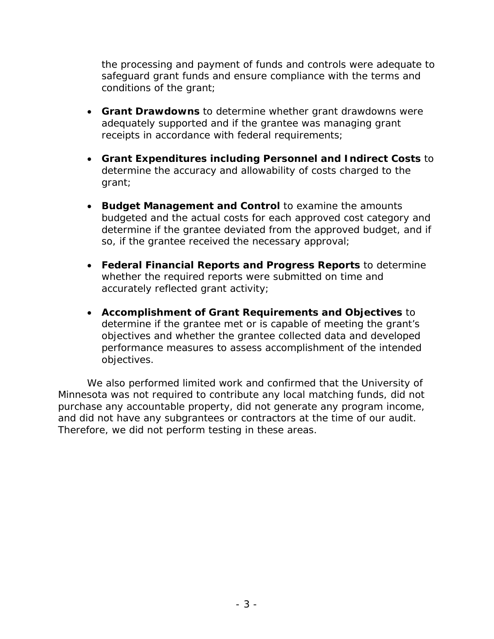conditions of the grant; the processing and payment of funds and controls were adequate to safeguard grant funds and ensure compliance with the terms and

- **Grant Drawdowns** to determine whether grant drawdowns were adequately supported and if the grantee was managing grant receipts in accordance with federal requirements;
- determine the accuracy and allowability of costs charged to the • **Grant Expenditures including Personnel and Indirect Costs** to grant;
- • **Budget Management and Control** to examine the amounts budgeted and the actual costs for each approved cost category and determine if the grantee deviated from the approved budget, and if so, if the grantee received the necessary approval;
- • **Federal Financial Reports and Progress Reports** to determine whether the required reports were submitted on time and accurately reflected grant activity;
- • **Accomplishment of Grant Requirements and Objectives** to determine if the grantee met or is capable of meeting the grant's objectives and whether the grantee collected data and developed performance measures to assess accomplishment of the intended objectives.

and did not have any subgrantees or contractors at the time of our audit.<br>Therefore, we did not perform testing in these areas. We also performed limited work and confirmed that the University of Minnesota was not required to contribute any local matching funds, did not purchase any accountable property, did not generate any program income,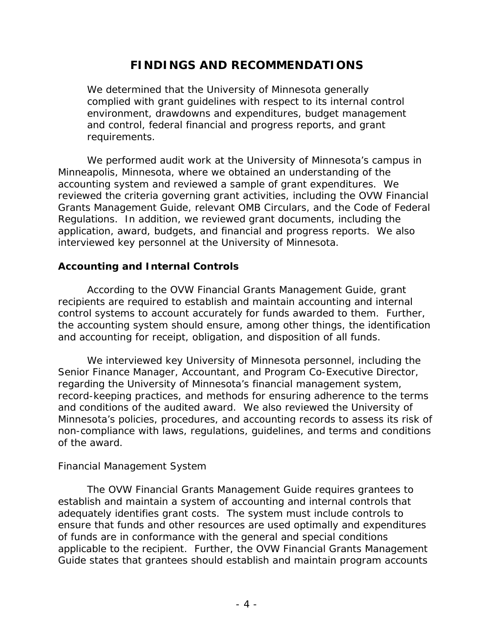# **FINDINGS AND RECOMMENDATIONS**

<span id="page-6-0"></span> and control, federal financial and progress reports, and grant We determined that the University of Minnesota generally complied with grant guidelines with respect to its internal control environment, drawdowns and expenditures, budget management requirements.

 accounting system and reviewed a sample of grant expenditures. We interviewed key personnel at the University of Minnesota. We performed audit work at the University of Minnesota's campus in Minneapolis, Minnesota, where we obtained an understanding of the reviewed the criteria governing grant activities, including the OVW Financial Grants Management Guide, relevant OMB Circulars, and the Code of Federal Regulations. In addition, we reviewed grant documents, including the application, award, budgets, and financial and progress reports. We also

### <span id="page-6-1"></span>**Accounting and Internal Controls**

 According to the OVW Financial Grants Management Guide, grant control systems to account accurately for funds awarded to them. Further, recipients are required to establish and maintain accounting and internal the accounting system should ensure, among other things, the identification and accounting for receipt, obligation, and disposition of all funds.

We interviewed key University of Minnesota personnel, including the Senior Finance Manager, Accountant, and Program Co-Executive Director, regarding the University of Minnesota's financial management system, record-keeping practices, and methods for ensuring adherence to the terms and conditions of the audited award. We also reviewed the University of Minnesota's policies, procedures, and accounting records to assess its risk of non-compliance with laws, regulations, guidelines, and terms and conditions of the award.

### *Financial Management System*

 Guide states that grantees should establish and maintain program accounts The OVW Financial Grants Management Guide requires grantees to establish and maintain a system of accounting and internal controls that adequately identifies grant costs. The system must include controls to ensure that funds and other resources are used optimally and expenditures of funds are in conformance with the general and special conditions applicable to the recipient. Further, the OVW Financial Grants Management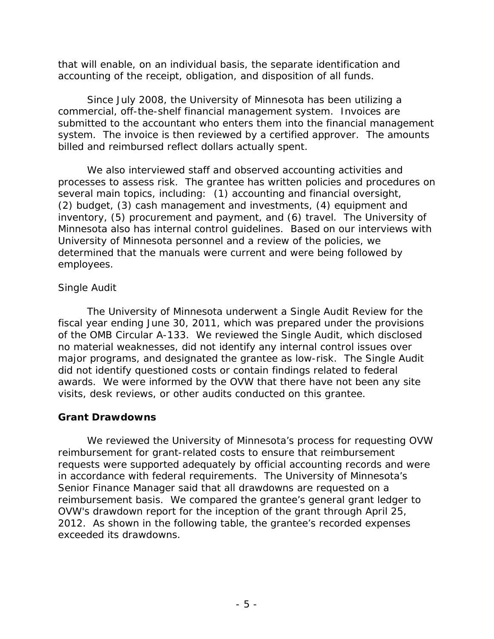that will enable, on an individual basis, the separate identification and accounting of the receipt, obligation, and disposition of all funds.

 commercial, off-the-shelf financial management system. Invoices are system. The invoice is then reviewed by a certified approver. The amounts Since July 2008, the University of Minnesota has been utilizing a submitted to the accountant who enters them into the financial management billed and reimbursed reflect dollars actually spent.

 employees. We also interviewed staff and observed accounting activities and processes to assess risk. The grantee has written policies and procedures on several main topics, including: (1) accounting and financial oversight, (2) budget, (3) cash management and investments, (4) equipment and inventory, (5) procurement and payment, and (6) travel. The University of Minnesota also has internal control guidelines. Based on our interviews with University of Minnesota personnel and a review of the policies, we determined that the manuals were current and were being followed by

### *Single Audit*

 of the OMB Circular A-133. We reviewed the Single Audit, which disclosed did not identify questioned costs or contain findings related to federal visits, desk reviews, or other audits conducted on this grantee. The University of Minnesota underwent a Single Audit Review for the fiscal year ending June 30, 2011, which was prepared under the provisions no material weaknesses, did not identify any internal control issues over major programs, and designated the grantee as low-risk. The Single Audit awards. We were informed by the OVW that there have not been any site

### <span id="page-7-0"></span>**Grant Drawdowns**

 in accordance with federal requirements. The University of Minnesota's 2012. As shown in the following table, the grantee's recorded expenses We reviewed the University of Minnesota's process for requesting OVW reimbursement for grant-related costs to ensure that reimbursement requests were supported adequately by official accounting records and were Senior Finance Manager said that all drawdowns are requested on a reimbursement basis. We compared the grantee's general grant ledger to OVW's drawdown report for the inception of the grant through April 25, exceeded its drawdowns.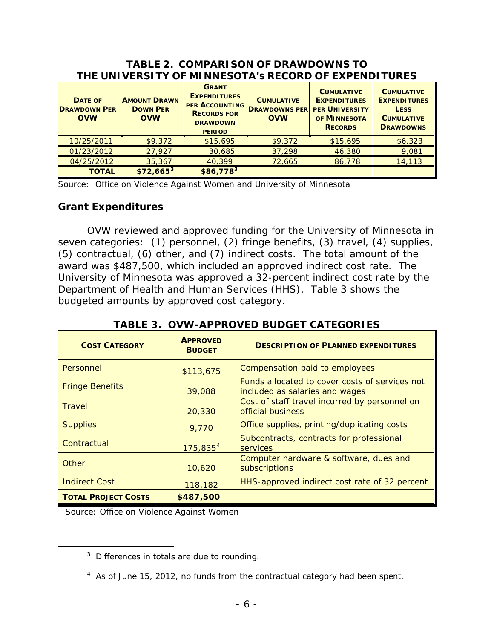| THE UNIVERSITY OF MINNESOTA'S RECORD OF EAPENDITURES |                                                      |                                                                                                                        |                                                         |                                                                                                     |                                                                                                  |
|------------------------------------------------------|------------------------------------------------------|------------------------------------------------------------------------------------------------------------------------|---------------------------------------------------------|-----------------------------------------------------------------------------------------------------|--------------------------------------------------------------------------------------------------|
| <b>DATE OF</b><br><b>DRAWDOWN PER</b><br><b>OVW</b>  | <b>AMOUNT DRAWN</b><br><b>DOWN PER</b><br><b>OVW</b> | <b>GRANT</b><br><b>EXPENDITURES</b><br><b>PER ACCOUNTING</b><br><b>RECORDS FOR</b><br><b>DRAWDOWN</b><br><b>PERIOD</b> | <b>CUMULATIVE</b><br><b>DRAWDOWNS PER</b><br><b>OVW</b> | <b>CUMULATIVE</b><br><b>EXPENDITURES</b><br><b>PER UNIVERSITY</b><br>OF MINNESOTA<br><b>RECORDS</b> | <b>CUMULATIVE</b><br><b>EXPENDITURES</b><br><b>LESS</b><br><b>CUMULATIVE</b><br><b>DRAWDOWNS</b> |
| 10/25/2011                                           | \$9,372                                              | \$15,695                                                                                                               | \$9,372                                                 | \$15,695                                                                                            | \$6,323                                                                                          |
| 01/23/2012                                           | 27,927                                               | 30,685                                                                                                                 | 37,298                                                  | 46,380                                                                                              | 9,081                                                                                            |
| 04/25/2012                                           | 35,367                                               | 40,399                                                                                                                 | 72,665                                                  | 86,778                                                                                              | 14,113                                                                                           |
| <b>TOTAL</b>                                         | $$72,665^3$                                          | $$86,778^3$                                                                                                            |                                                         |                                                                                                     |                                                                                                  |

#### **TABLE 2. COMPARISON OF DRAWDOWNS TO THE UNIVERSITY OF MINNESOTA'S RECORD OF EXPENDITURES**

Source: Office on Violence Against Women and University of Minnesota

#### **Grant Expenditures**

 seven categories: (1) personnel, (2) fringe benefits, (3) travel, (4) supplies, (5) contractual, (6) other, and (7) indirect costs. The total amount of the award was \$487,500, which included an approved indirect cost rate. The University of Minnesota was approved a 32-percent indirect cost rate by the Department of Health and Human Services (HHS). Table 3 shows the OVW reviewed and approved funding for the University of Minnesota in budgeted amounts by approved cost category.

| <b>COST CATEGORY</b>       | <b>APPROVED</b><br><b>BUDGET</b> | <b>DESCRIPTION OF PLANNED EXPENDITURES</b>                                       |
|----------------------------|----------------------------------|----------------------------------------------------------------------------------|
| Personnel                  | \$113,675                        | Compensation paid to employees                                                   |
| <b>Fringe Benefits</b>     | 39,088                           | Funds allocated to cover costs of services not<br>included as salaries and wages |
| <b>Travel</b>              | 20,330                           | Cost of staff travel incurred by personnel on<br>official business               |
| <b>Supplies</b>            | 9,770                            | Office supplies, printing/duplicating costs                                      |
| Contractual                | 175,835 <sup>4</sup>             | Subcontracts, contracts for professional<br>services                             |
| Other                      | 10,620                           | Computer hardware & software, dues and<br>subscriptions                          |
| <b>Indirect Cost</b>       | 118,182                          | HHS-approved indirect cost rate of 32 percent                                    |
| <b>TOTAL PROJECT COSTS</b> | \$487,500                        |                                                                                  |

### **TABLE 3. OVW-APPROVED BUDGET CATEGORIES**

Source: Office on Violence Against Women

<span id="page-8-1"></span><span id="page-8-0"></span>l

<sup>&</sup>lt;sup>3</sup> Differences in totals are due to rounding.

 $4$  As of June 15, 2012, no funds from the contractual category had been spent.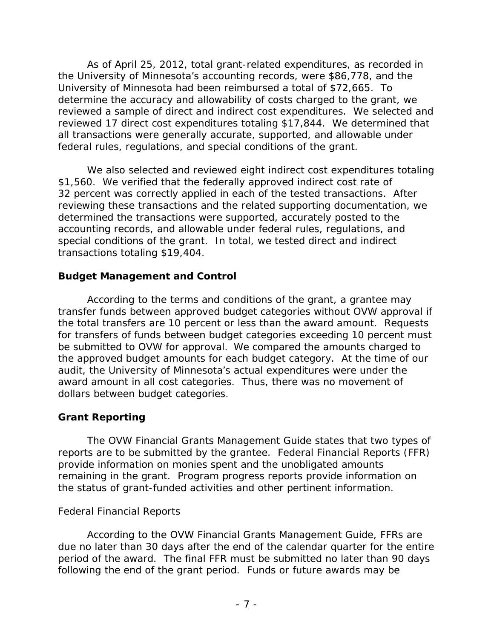reviewed 17 direct cost expenditures totaling \$17,844. We determined that As of April 25, 2012, total grant-related expenditures, as recorded in the University of Minnesota's accounting records, were \$86,778, and the University of Minnesota had been reimbursed a total of \$72,665. To determine the accuracy and allowability of costs charged to the grant, we reviewed a sample of direct and indirect cost expenditures. We selected and all transactions were generally accurate, supported, and allowable under federal rules, regulations, and special conditions of the grant.

 \$1,560. We verified that the federally approved indirect cost rate of We also selected and reviewed eight indirect cost expenditures totaling 32 percent was correctly applied in each of the tested transactions. After reviewing these transactions and the related supporting documentation, we determined the transactions were supported, accurately posted to the accounting records, and allowable under federal rules, regulations, and special conditions of the grant. In total, we tested direct and indirect transactions totaling \$19,404.

### <span id="page-9-0"></span> **Budget Management and Control**

 the total transfers are 10 percent or less than the award amount. Requests According to the terms and conditions of the grant, a grantee may transfer funds between approved budget categories without OVW approval if for transfers of funds between budget categories exceeding 10 percent must be submitted to OVW for approval. We compared the amounts charged to the approved budget amounts for each budget category. At the time of our audit, the University of Minnesota's actual expenditures were under the award amount in all cost categories. Thus, there was no movement of dollars between budget categories.

## <span id="page-9-1"></span> **Grant Reporting**

 The OVW Financial Grants Management Guide states that two types of remaining in the grant. Program progress reports provide information on reports are to be submitted by the grantee. Federal Financial Reports (FFR) provide information on monies spent and the unobligated amounts the status of grant-funded activities and other pertinent information.

### *Federal Financial Reports*

 According to the OVW Financial Grants Management Guide, FFRs are period of the award. The final FFR must be submitted no later than 90 days following the end of the grant period. Funds or future awards may be due no later than 30 days after the end of the calendar quarter for the entire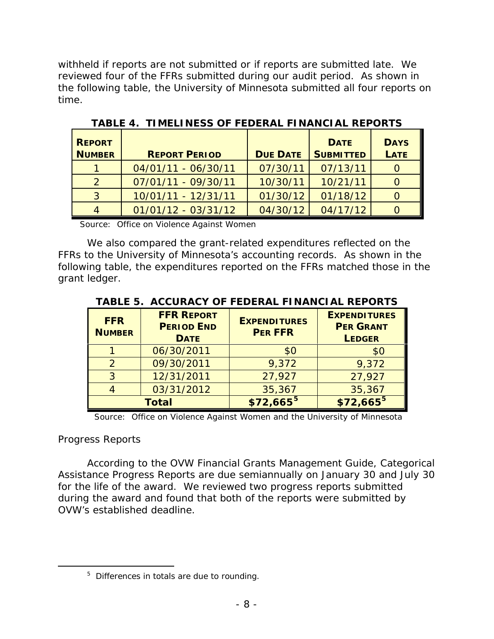reviewed four of the FFRs submitted during our audit period. As shown in withheld if reports are not submitted or if reports are submitted late. We the following table, the University of Minnesota submitted all four reports on time.

| <b>REPORT</b><br><b>NUMBER</b> | <b>REPORT PERIOD</b>  | <b>DUE DATE</b> | <b>DATE</b><br><b>SUBMITTED</b> | <b>DAYS</b><br><b>LATE</b> |
|--------------------------------|-----------------------|-----------------|---------------------------------|----------------------------|
|                                | 04/01/11 - 06/30/11   | 07/30/11        | 07/13/11                        |                            |
| $\mathcal{P}$                  | 07/01/11 - 09/30/11   | 10/30/11        | 10/21/11                        |                            |
| 3                              | 10/01/11 - 12/31/11   | 01/30/12        | 01/18/12                        |                            |
|                                | $01/01/12 - 03/31/12$ | 04/30/12        | 04/17/12                        |                            |

**TABLE 4. TIMELINESS OF FEDERAL FINANCIAL REPORTS** 

Source: Office on Violence Against Women

 FFRs to the University of Minnesota's accounting records. As shown in the We also compared the grant-related expenditures reflected on the following table, the expenditures reported on the FFRs matched those in the grant ledger.

| <b>FFR</b><br><b>NUMBER</b> | <b>FFR REPORT</b><br><b>PERIOD END</b><br><b>DATE</b> | <b>EXPENDITURES</b><br><b>PER FFR</b> | <b>EXPENDITURES</b><br><b>PER GRANT</b><br><b>LEDGER</b> |
|-----------------------------|-------------------------------------------------------|---------------------------------------|----------------------------------------------------------|
|                             | 06/30/2011                                            | \$0                                   | \$0                                                      |
| $\mathcal{P}$               | 09/30/2011                                            | 9,372                                 | 9,372                                                    |
| २                           | 12/31/2011                                            | 27,927                                | 27,927                                                   |
|                             | 03/31/2012                                            | 35,367                                | 35,367                                                   |
|                             | <b>Total</b>                                          | $$72,665^5$                           | $$72,665^5$                                              |

Source: Office on Violence Against Women and the University of Minnesota

### *Progress Reports*

<span id="page-10-0"></span>-

According to the OVW Financial Grants Management Guide, Categorical Assistance Progress Reports are due semiannually on January 30 and July 30 for the life of the award. We reviewed two progress reports submitted during the award and found that both of the reports were submitted by OVW's established deadline.

 $5$  Differences in totals are due to rounding.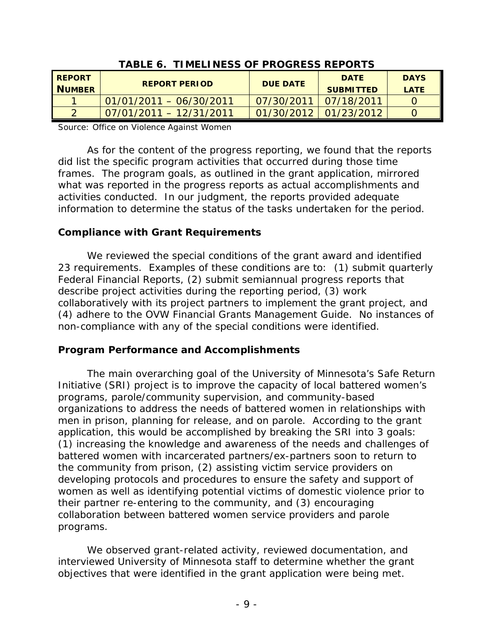| <b>TABLE 6. TIMELINESS OF PROGRESS REPORTS</b> |                            |                 |                                 |                            |
|------------------------------------------------|----------------------------|-----------------|---------------------------------|----------------------------|
| <b>REPORT</b><br><b>NUMBER</b>                 | <b>REPORT PERIOD</b>       | <b>DUE DATE</b> | <b>DATE</b><br><b>SUBMITTED</b> | <b>DAYS</b><br><b>LATE</b> |
|                                                | 01/01/2011 - 06/30/2011    | 07/30/2011      | 07/18/2011                      |                            |
|                                                | $107/01/2011 - 12/31/2011$ |                 | $01/30/2012$ 01/23/2012         |                            |

**TABLE 6. TIMELINESS OF PROGRESS REPORTS**

Source: Office on Violence Against Women

 frames. The program goals, as outlined in the grant application, mirrored As for the content of the progress reporting, we found that the reports did list the specific program activities that occurred during those time what was reported in the progress reports as actual accomplishments and activities conducted. In our judgment, the reports provided adequate information to determine the status of the tasks undertaken for the period.

### <span id="page-11-0"></span>**Compliance with Grant Requirements**

We reviewed the special conditions of the grant award and identified 23 requirements. Examples of these conditions are to: (1) submit quarterly Federal Financial Reports, (2) submit semiannual progress reports that describe project activities during the reporting period, (3) work collaboratively with its project partners to implement the grant project, and (4) adhere to the OVW Financial Grants Management Guide. No instances of non-compliance with any of the special conditions were identified.

### <span id="page-11-1"></span>**Program Performance and Accomplishments**

 Initiative (SRI) project is to improve the capacity of local battered women's men in prison, planning for release, and on parole. According to the grant the community from prison, (2) assisting victim service providers on The main overarching goal of the University of Minnesota's Safe Return programs, parole/community supervision, and community-based organizations to address the needs of battered women in relationships with application, this would be accomplished by breaking the SRI into 3 goals: (1) increasing the knowledge and awareness of the needs and challenges of battered women with incarcerated partners/ex-partners soon to return to developing protocols and procedures to ensure the safety and support of women as well as identifying potential victims of domestic violence prior to their partner re-entering to the community, and (3) encouraging collaboration between battered women service providers and parole programs.

 objectives that were identified in the grant application were being met. We observed grant-related activity, reviewed documentation, and interviewed University of Minnesota staff to determine whether the grant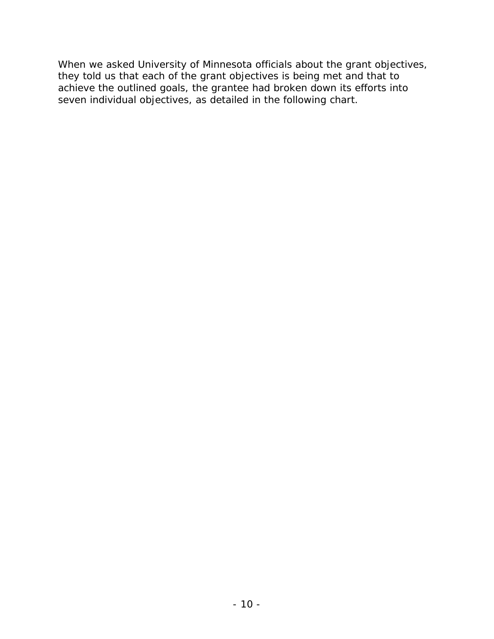When we asked University of Minnesota officials about the grant objectives, they told us that each of the grant objectives is being met and that to achieve the outlined goals, the grantee had broken down its efforts into seven individual objectives, as detailed in the following chart.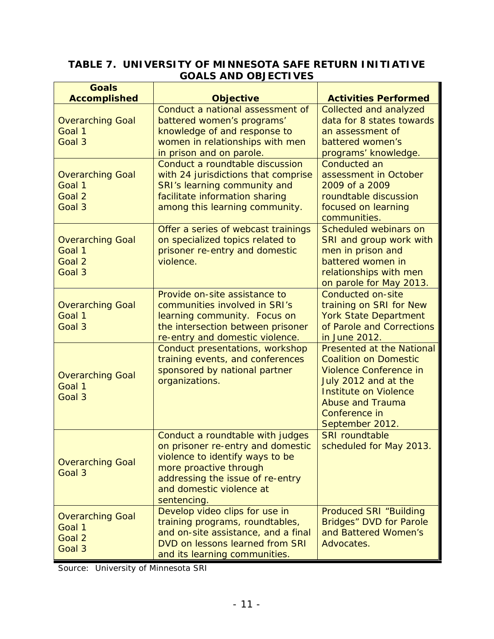## **TABLE 7. UNIVERSITY OF MINNESOTA SAFE RETURN INITIATIVE GOALS AND OBJECTIVES**

| <b>Goals</b><br><b>Accomplished</b>                   | <b>Objective</b>                                                                                                                                                                                                  | <b>Activities Performed</b>                                                                                                                                                                                       |
|-------------------------------------------------------|-------------------------------------------------------------------------------------------------------------------------------------------------------------------------------------------------------------------|-------------------------------------------------------------------------------------------------------------------------------------------------------------------------------------------------------------------|
| <b>Overarching Goal</b><br>Goal 1<br>Goal 3           | Conduct a national assessment of<br>battered women's programs'<br>knowledge of and response to<br>women in relationships with men<br>in prison and on parole.                                                     | Collected and analyzed<br>data for 8 states towards<br>an assessment of<br>battered women's<br>programs' knowledge.                                                                                               |
| <b>Overarching Goal</b><br>Goal 1<br>Goal 2<br>Goal 3 | Conduct a roundtable discussion<br>with 24 jurisdictions that comprise<br>SRI's learning community and<br>facilitate information sharing<br>among this learning community.                                        | <b>Conducted an</b><br>assessment in October<br>2009 of a 2009<br>roundtable discussion<br>focused on learning<br>communities.                                                                                    |
| <b>Overarching Goal</b><br>Goal 1<br>Goal 2<br>Goal 3 | Offer a series of webcast trainings<br>on specialized topics related to<br>prisoner re-entry and domestic<br>violence.                                                                                            | Scheduled webinars on<br>SRI and group work with<br>men in prison and<br>battered women in<br>relationships with men<br>on parole for May 2013.                                                                   |
| <b>Overarching Goal</b><br>Goal 1<br>Goal 3           | Provide on-site assistance to<br>communities involved in SRI's<br>learning community. Focus on<br>the intersection between prisoner<br>re-entry and domestic violence.                                            | Conducted on-site<br>training on SRI for New<br><b>York State Department</b><br>of Parole and Corrections<br>in June 2012.                                                                                        |
| <b>Overarching Goal</b><br>Goal 1<br>Goal 3           | Conduct presentations, workshop<br>training events, and conferences<br>sponsored by national partner<br>organizations.                                                                                            | <b>Presented at the National</b><br><b>Coalition on Domestic</b><br>Violence Conference in<br>July 2012 and at the<br><b>Institute on Violence</b><br><b>Abuse and Trauma</b><br>Conference in<br>September 2012. |
| <b>Overarching Goal</b><br>Goal 3                     | Conduct a roundtable with judges<br>on prisoner re-entry and domestic<br>violence to identify ways to be<br>more proactive through<br>addressing the issue of re-entry<br>and domestic violence at<br>sentencing. | <b>SRI</b> roundtable<br>scheduled for May 2013.                                                                                                                                                                  |
| <b>Overarching Goal</b><br>Goal 1<br>Goal 2<br>Goal 3 | Develop video clips for use in<br>training programs, roundtables,<br>and on-site assistance, and a final<br>DVD on lessons learned from SRI<br>and its learning communities.                                      | <b>Produced SRI "Building</b><br>Bridges" DVD for Parole<br>and Battered Women's<br>Advocates.                                                                                                                    |

Source: University of Minnesota SRI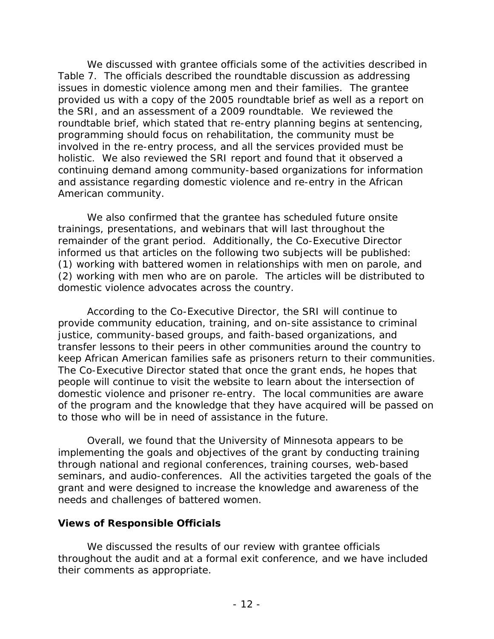issues in domestic violence among men and their families. The grantee the SRI, and an assessment of a 2009 roundtable. We reviewed the involved in the re-entry process, and all the services provided must be holistic. We also reviewed the SRI report and found that it observed a American community. We discussed with grantee officials some of the activities described in Table 7. The officials described the roundtable discussion as addressing provided us with a copy of the 2005 roundtable brief as well as a report on roundtable brief, which stated that re-entry planning begins at sentencing, programming should focus on rehabilitation, the community must be continuing demand among community-based organizations for information and assistance regarding domestic violence and re-entry in the African

 informed us that articles on the following two subjects will be published: domestic violence advocates across the country. We also confirmed that the grantee has scheduled future onsite trainings, presentations, and webinars that will last throughout the remainder of the grant period. Additionally, the Co-Executive Director (1) working with battered women in relationships with men on parole, and (2) working with men who are on parole. The articles will be distributed to

 transfer lessons to their peers in other communities around the country to According to the Co-Executive Director, the SRI will continue to provide community education, training, and on-site assistance to criminal justice, community-based groups, and faith-based organizations, and keep African American families safe as prisoners return to their communities. The Co-Executive Director stated that once the grant ends, he hopes that people will continue to visit the website to learn about the intersection of domestic violence and prisoner re-entry. The local communities are aware of the program and the knowledge that they have acquired will be passed on to those who will be in need of assistance in the future.

 implementing the goals and objectives of the grant by conducting training seminars, and audio-conferences. All the activities targeted the goals of the needs and challenges of battered women. Overall, we found that the University of Minnesota appears to be through national and regional conferences, training courses, web-based grant and were designed to increase the knowledge and awareness of the

### <span id="page-14-0"></span>**Views of Responsible Officials**

We discussed the results of our review with grantee officials throughout the audit and at a formal exit conference, and we have included their comments as appropriate.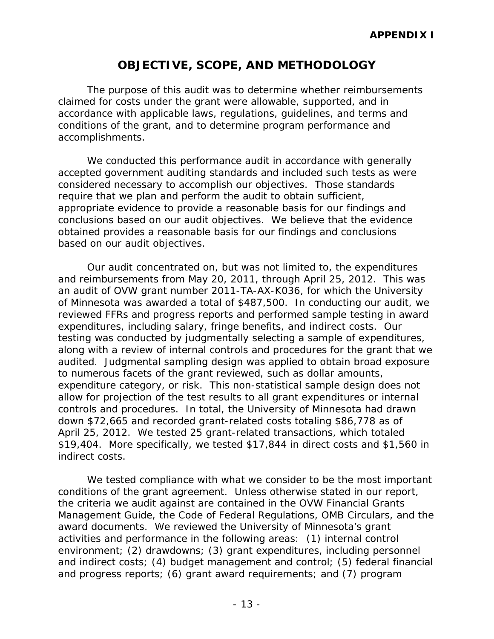# **OBJECTIVE, SCOPE, AND METHODOLOGY**

<span id="page-15-0"></span>The purpose of this audit was to determine whether reimbursements claimed for costs under the grant were allowable, supported, and in accordance with applicable laws, regulations, guidelines, and terms and conditions of the grant, and to determine program performance and accomplishments.

We conducted this performance audit in accordance with generally accepted government auditing standards and included such tests as were considered necessary to accomplish our objectives. Those standards require that we plan and perform the audit to obtain sufficient, appropriate evidence to provide a reasonable basis for our findings and conclusions based on our audit objectives. We believe that the evidence obtained provides a reasonable basis for our findings and conclusions based on our audit objectives.

 Our audit concentrated on, but was not limited to, the expenditures of Minnesota was awarded a total of \$487,500. In conducting our audit, we along with a review of internal controls and procedures for the grant that we audited. Judgmental sampling design was applied to obtain broad exposure to numerous facets of the grant reviewed, such as dollar amounts, expenditure category, or risk. This non-statistical sample design does not controls and procedures. In total, the University of Minnesota had drawn April 25, 2012. We tested 25 grant-related transactions, which totaled \$19,404. More specifically, we tested \$17,844 in direct costs and \$1,560 in indirect costs. and reimbursements from May 20, 2011, through April 25, 2012. This was an audit of OVW grant number 2011-TA-AX-K036, for which the University reviewed FFRs and progress reports and performed sample testing in award expenditures, including salary, fringe benefits, and indirect costs. Our testing was conducted by judgmentally selecting a sample of expenditures, allow for projection of the test results to all grant expenditures or internal down \$72,665 and recorded grant-related costs totaling \$86,778 as of

 conditions of the grant agreement. Unless otherwise stated in our report, the criteria we audit against are contained in the OVW Financial Grants award documents. We reviewed the University of Minnesota's grant and progress reports; (6) grant award requirements; and (7) program We tested compliance with what we consider to be the most important Management Guide, the Code of Federal Regulations, OMB Circulars, and the activities and performance in the following areas: (1) internal control environment; (2) drawdowns; (3) grant expenditures, including personnel and indirect costs; (4) budget management and control; (5) federal financial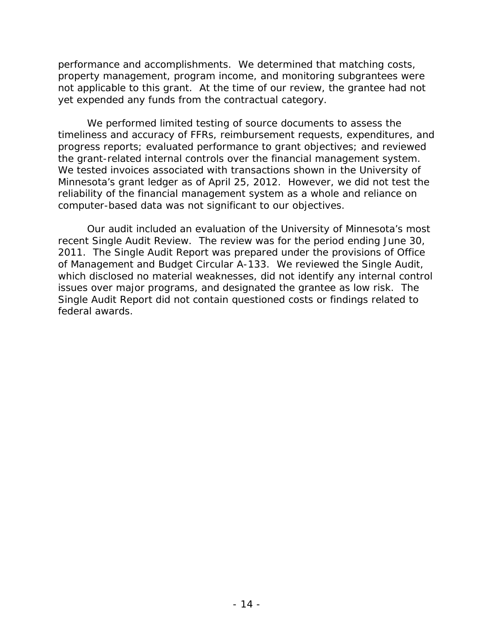performance and accomplishments. We determined that matching costs, property management, program income, and monitoring subgrantees were not applicable to this grant. At the time of our review, the grantee had not yet expended any funds from the contractual category.

 We tested invoices associated with transactions shown in the University of computer-based data was not significant to our objectives. We performed limited testing of source documents to assess the timeliness and accuracy of FFRs, reimbursement requests, expenditures, and progress reports; evaluated performance to grant objectives; and reviewed the grant-related internal controls over the financial management system. Minnesota's grant ledger as of April 25, 2012. However, we did not test the reliability of the financial management system as a whole and reliance on

 2011. The Single Audit Report was prepared under the provisions of Office which disclosed no material weaknesses, did not identify any internal control Single Audit Report did not contain questioned costs or findings related to Our audit included an evaluation of the University of Minnesota's most recent Single Audit Review. The review was for the period ending June 30, of Management and Budget Circular A-133. We reviewed the Single Audit, issues over major programs, and designated the grantee as low risk. The federal awards.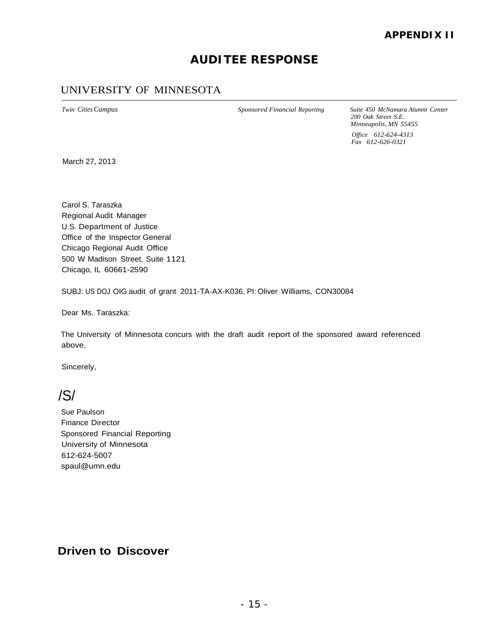## **AUDITEE RESPONSE**

### <span id="page-17-0"></span>UNIVERSITY OF MINNESOTA

*Twin Cities Campus Sponsored Financial Reporting Suite 450 McNamara Alumni Center 200 Oak Street S.E. Minneapolis, MN 55455 Office 612-624-4313 Fax 612-626-0321* 

March 27, 2013

 Carol S. Taraszka Regional Audit Manager U.S. Department of Justice Office of the Inspector General Chicago Regional Audit Office 500 W Madison Street, Suite 1121 Chicago, IL 60661-2590

SUBJ: US DOJ OIG audit of grant 2011-TA-AX-K036, PI: Oliver Williams, CON30084

Dear Ms. Taraszka:

 The University of Minnesota concurs with the draft audit report of the sponsored award referenced above.

Sincerely,

/S/

 Finance Director Sponsored Financial Reporting Sue Paulson University of Minnesota 612-624-500[7](mailto:spaul@umn.edu)  [spaul@umn.edu](mailto:spaul@umn.edu) 

### **Driven to Discover**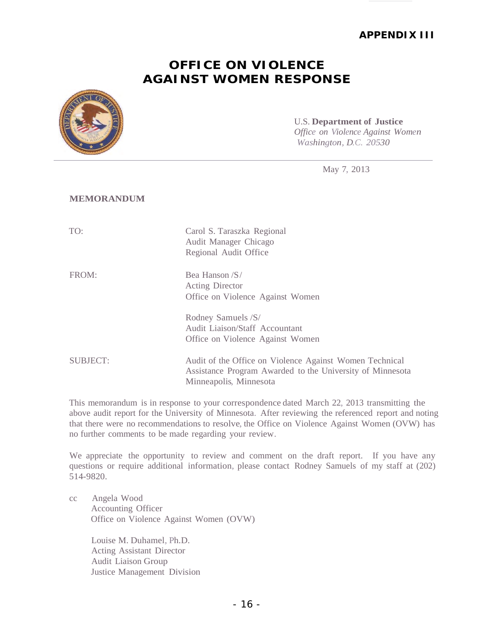#### **APPENDIX III**

## **OFFICE ON VIOLENCE AGAINST WOMEN RESPONSE**

<span id="page-18-1"></span><span id="page-18-0"></span>

#### U.S. **Department of Justice**  *Office on Violence Against Women Washington, D.C. 20530*

May 7, 2013

#### **MEMORANDUM**

| TO:             | Carol S. Taraszka Regional<br>Audit Manager Chicago<br>Regional Audit Office                                                                   |
|-----------------|------------------------------------------------------------------------------------------------------------------------------------------------|
| FROM:           | Bea Hanson /S/<br><b>Acting Director</b><br>Office on Violence Against Women                                                                   |
|                 | Rodney Samuels /S/<br>Audit Liaison/Staff Accountant<br>Office on Violence Against Women                                                       |
| <b>SUBJECT:</b> | Audit of the Office on Violence Against Women Technical<br>Assistance Program Awarded to the University of Minnesota<br>Minneapolis, Minnesota |

 This memorandum is in response to your correspondence dated March 22, 2013 transmitting the above audit report for the University of Minnesota. After reviewing the referenced report and noting that there were no recommendations to resolve, the Office on Violence Against Women (OVW) has no further comments to be made regarding your review.

 We appreciate the opportunity to review and comment on the draft report. If you have any questions or require additional information, please contact Rodney Samuels of my staff at (202) 514-9820.

| cc | Angela Wood                            |
|----|----------------------------------------|
|    | <b>Accounting Officer</b>              |
|    | Office on Violence Against Women (OVW) |

 Louise M. Duhamel, Ph.D. Acting Assistant Director Audit Liaison Group Justice Management Division